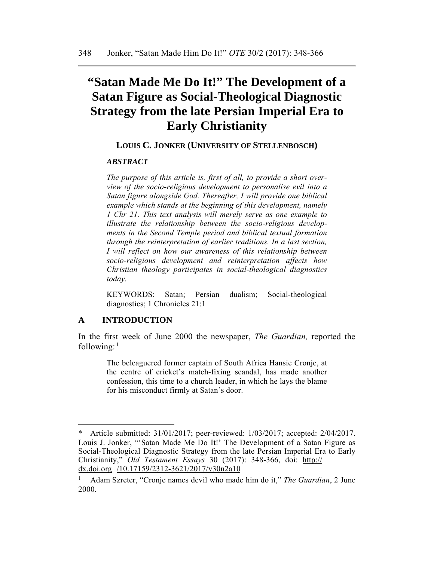# **"Satan Made Me Do It!" The Development of a Satan Figure as Social-Theological Diagnostic Strategy from the late Persian Imperial Era to Early Christianity**

## **LOUIS C. JONKER (UNIVERSITY OF STELLENBOSCH)**

#### *ABSTRACT*

*The purpose of this article is, first of all, to provide a short overview of the socio-religious development to personalise evil into a Satan figure alongside God. Thereafter, I will provide one biblical example which stands at the beginning of this development, namely 1 Chr 21. This text analysis will merely serve as one example to illustrate the relationship between the socio-religious developments in the Second Temple period and biblical textual formation through the reinterpretation of earlier traditions. In a last section, I* will reflect on how our awareness of this relationship between *socio-religious development and reinterpretation affects how Christian theology participates in social-theological diagnostics today.* 

KEYWORDS: Satan; Persian dualism; Social-theological diagnostics; 1 Chronicles 21:1

#### **A INTRODUCTION**

In the first week of June 2000 the newspaper, *The Guardian,* reported the following: $<sup>1</sup>$ </sup>

> The beleaguered former captain of South Africa Hansie Cronje, at the centre of cricket's match-fixing scandal, has made another confession, this time to a church leader, in which he lays the blame for his misconduct firmly at Satan's door.

Article submitted: 31/01/2017; peer-reviewed: 1/03/2017; accepted: 2/04/2017. Louis J. Jonker, "'Satan Made Me Do It!' The Development of a Satan Figure as Social-Theological Diagnostic Strategy from the late Persian Imperial Era to Early Christianity," *Old Testament Essays* 30 (2017): 348-366, doi: http:// dx.doi.org /10.17159/2312-3621/2017/v30n2a10

<sup>1</sup> Adam Szreter, "Cronje names devil who made him do it," *The Guardian*, 2 June 2000.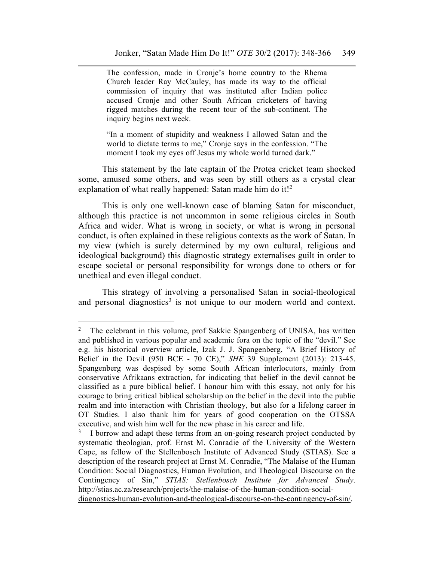The confession, made in Cronje's home country to the Rhema Church leader Ray McCauley, has made its way to the official commission of inquiry that was instituted after Indian police accused Cronje and other South African cricketers of having rigged matches during the recent tour of the sub-continent. The inquiry begins next week.

"In a moment of stupidity and weakness I allowed Satan and the world to dictate terms to me," Cronje says in the confession. "The moment I took my eyes off Jesus my whole world turned dark."

This statement by the late captain of the Protea cricket team shocked some, amused some others, and was seen by still others as a crystal clear explanation of what really happened: Satan made him do it!<sup>2</sup>

This is only one well-known case of blaming Satan for misconduct, although this practice is not uncommon in some religious circles in South Africa and wider. What is wrong in society, or what is wrong in personal conduct, is often explained in these religious contexts as the work of Satan. In my view (which is surely determined by my own cultural, religious and ideological background) this diagnostic strategy externalises guilt in order to escape societal or personal responsibility for wrongs done to others or for unethical and even illegal conduct.

This strategy of involving a personalised Satan in social-theological and personal diagnostics<sup>3</sup> is not unique to our modern world and context.

 $\overline{a}$ 

<sup>&</sup>lt;sup>2</sup> The celebrant in this volume, prof Sakkie Spangenberg of UNISA, has written and published in various popular and academic fora on the topic of the "devil." See e.g. his historical overview article, Izak J. J. Spangenberg, "A Brief History of Belief in the Devil (950 BCE - 70 CE)," *SHE* 39 Supplement (2013): 213-45. Spangenberg was despised by some South African interlocutors, mainly from conservative Afrikaans extraction, for indicating that belief in the devil cannot be classified as a pure biblical belief. I honour him with this essay, not only for his courage to bring critical biblical scholarship on the belief in the devil into the public realm and into interaction with Christian theology, but also for a lifelong career in OT Studies. I also thank him for years of good cooperation on the OTSSA executive, and wish him well for the new phase in his career and life.

<sup>&</sup>lt;sup>3</sup> I borrow and adapt these terms from an on-going research project conducted by systematic theologian, prof. Ernst M. Conradie of the University of the Western Cape, as fellow of the Stellenbosch Institute of Advanced Study (STIAS). See a description of the research project at Ernst M. Conradie, "The Malaise of the Human Condition: Social Diagnostics, Human Evolution, and Theological Discourse on the Contingency of Sin," *STIAS: Stellenbosch Institute for Advanced Study*. http://stias.ac.za/research/projects/the-malaise-of-the-human-condition-socialdiagnostics-human-evolution-and-theological-discourse-on-the-contingency-of-sin/.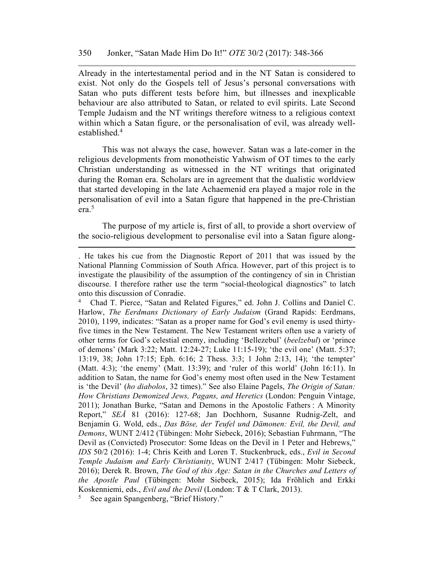Already in the intertestamental period and in the NT Satan is considered to exist. Not only do the Gospels tell of Jesus's personal conversations with Satan who puts different tests before him, but illnesses and inexplicable behaviour are also attributed to Satan, or related to evil spirits. Late Second Temple Judaism and the NT writings therefore witness to a religious context within which a Satan figure, or the personalisation of evil, was already wellestablished.4

This was not always the case, however. Satan was a late-comer in the religious developments from monotheistic Yahwism of OT times to the early Christian understanding as witnessed in the NT writings that originated during the Roman era. Scholars are in agreement that the dualistic worldview that started developing in the late Achaemenid era played a major role in the personalisation of evil into a Satan figure that happened in the pre-Christian era.5

The purpose of my article is, first of all, to provide a short overview of the socio-religious development to personalise evil into a Satan figure along-

4 Chad T. Pierce, "Satan and Related Figures," ed. John J. Collins and Daniel C. Harlow, *The Eerdmans Dictionary of Early Judaism* (Grand Rapids: Eerdmans, 2010), 1199, indicates: "Satan as a proper name for God's evil enemy is used thirtyfive times in the New Testament. The New Testament writers often use a variety of other terms for God's celestial enemy, including 'Bellezebul' (*beelzebul*) or 'prince of demons' (Mark 3:22; Matt. 12:24-27; Luke 11:15-19); 'the evil one' (Matt. 5:37; 13:19, 38; John 17:15; Eph. 6:16; 2 Thess. 3:3; 1 John 2:13, 14); 'the tempter' (Matt. 4:3); 'the enemy' (Matt. 13:39); and 'ruler of this world' (John 16:11). In addition to Satan, the name for God's enemy most often used in the New Testament is 'the Devil' (*ho diabolos*, 32 times)." See also Elaine Pagels, *The Origin of Satan: How Christians Demonized Jews, Pagans, and Heretics* (London: Penguin Vintage, 2011); Jonathan Burke, "Satan and Demons in the Apostolic Fathers : A Minority Report," *SEÅ* 81 (2016): 127-68; Jan Dochhorn, Susanne Rudnig-Zelt, and Benjamin G. Wold, eds., *Das Böse, der Teufel und Dämonen: Evil, the Devil, and Demons*, WUNT 2/412 (Tübingen: Mohr Siebeck, 2016); Sebastian Fuhrmann, "The Devil as (Convicted) Prosecutor: Some Ideas on the Devil in 1 Peter and Hebrews," *IDS* 50/2 (2016): 1-4; Chris Keith and Loren T. Stuckenbruck, eds., *Evil in Second Temple Judaism and Early Christianity*, WUNT 2/417 (Tübingen: Mohr Siebeck, 2016); Derek R. Brown, *The God of this Age: Satan in the Churches and Letters of the Apostle Paul* (Tübingen: Mohr Siebeck, 2015); Ida Fröhlich and Erkki Koskenniemi, eds., *Evil and the Devil* (London: T & T Clark, 2013).

<sup>.</sup> He takes his cue from the Diagnostic Report of 2011 that was issued by the National Planning Commission of South Africa. However, part of this project is to investigate the plausibility of the assumption of the contingency of sin in Christian discourse. I therefore rather use the term "social-theological diagnostics" to latch onto this discussion of Conradie.

<sup>5</sup> See again Spangenberg, "Brief History."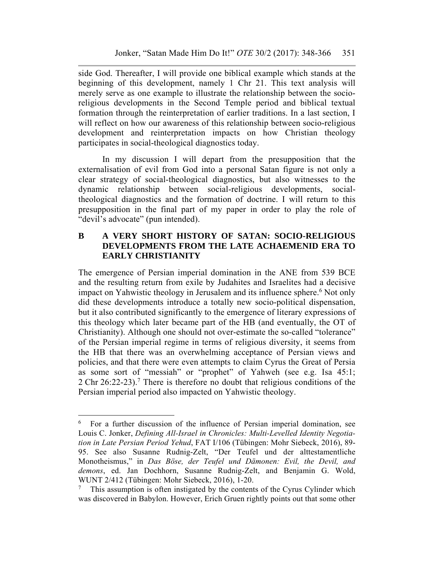side God. Thereafter, I will provide one biblical example which stands at the beginning of this development, namely 1 Chr 21. This text analysis will merely serve as one example to illustrate the relationship between the socioreligious developments in the Second Temple period and biblical textual formation through the reinterpretation of earlier traditions. In a last section, I will reflect on how our awareness of this relationship between socio-religious development and reinterpretation impacts on how Christian theology participates in social-theological diagnostics today.

In my discussion I will depart from the presupposition that the externalisation of evil from God into a personal Satan figure is not only a clear strategy of social-theological diagnostics, but also witnesses to the dynamic relationship between social-religious developments, socialtheological diagnostics and the formation of doctrine. I will return to this presupposition in the final part of my paper in order to play the role of "devil's advocate" (pun intended).

# **B A VERY SHORT HISTORY OF SATAN: SOCIO-RELIGIOUS DEVELOPMENTS FROM THE LATE ACHAEMENID ERA TO EARLY CHRISTIANITY**

The emergence of Persian imperial domination in the ANE from 539 BCE and the resulting return from exile by Judahites and Israelites had a decisive impact on Yahwistic theology in Jerusalem and its influence sphere.<sup>6</sup> Not only did these developments introduce a totally new socio-political dispensation, but it also contributed significantly to the emergence of literary expressions of this theology which later became part of the HB (and eventually, the OT of Christianity). Although one should not over-estimate the so-called "tolerance" of the Persian imperial regime in terms of religious diversity, it seems from the HB that there was an overwhelming acceptance of Persian views and policies, and that there were even attempts to claim Cyrus the Great of Persia as some sort of "messiah" or "prophet" of Yahweh (see e.g. Isa 45:1; 2 Chr 26:22-23).<sup>7</sup> There is therefore no doubt that religious conditions of the Persian imperial period also impacted on Yahwistic theology.

<sup>6</sup> For a further discussion of the influence of Persian imperial domination, see Louis C. Jonker, *Defining All-Israel in Chronicles: Multi-Levelled Identity Negotiation in Late Persian Period Yehud*, FAT I/106 (Tübingen: Mohr Siebeck, 2016), 89- 95. See also Susanne Rudnig-Zelt, "Der Teufel und der alttestamentliche Monotheismus," in *Das Böse, der Teufel und Dämonen: Evil, the Devil, and demons*, ed. Jan Dochhorn, Susanne Rudnig-Zelt, and Benjamin G. Wold, WUNT 2/412 (Tübingen: Mohr Siebeck, 2016), 1-20.

<sup>&</sup>lt;sup>7</sup> This assumption is often instigated by the contents of the Cyrus Cylinder which was discovered in Babylon. However, Erich Gruen rightly points out that some other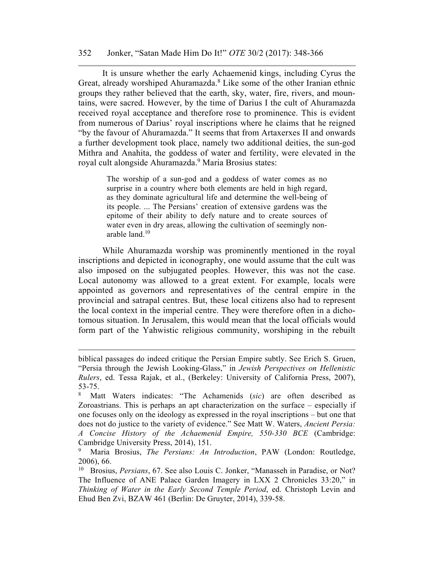#### 352 Jonker, "Satan Made Him Do It!" *OTE* 30/2 (2017): 348-366

It is unsure whether the early Achaemenid kings, including Cyrus the Great, already worshiped Ahuramazda.<sup>8</sup> Like some of the other Iranian ethnic groups they rather believed that the earth, sky, water, fire, rivers, and mountains, were sacred. However, by the time of Darius I the cult of Ahuramazda received royal acceptance and therefore rose to prominence. This is evident from numerous of Darius' royal inscriptions where he claims that he reigned "by the favour of Ahuramazda." It seems that from Artaxerxes II and onwards a further development took place, namely two additional deities, the sun-god Mithra and Anahita, the goddess of water and fertility, were elevated in the royal cult alongside Ahuramazda.9 Maria Brosius states:

> The worship of a sun-god and a goddess of water comes as no surprise in a country where both elements are held in high regard, as they dominate agricultural life and determine the well-being of its people. ... The Persians' creation of extensive gardens was the epitome of their ability to defy nature and to create sources of water even in dry areas, allowing the cultivation of seemingly nonarable land.10

While Ahuramazda worship was prominently mentioned in the royal inscriptions and depicted in iconography, one would assume that the cult was also imposed on the subjugated peoples. However, this was not the case. Local autonomy was allowed to a great extent. For example, locals were appointed as governors and representatives of the central empire in the provincial and satrapal centres. But, these local citizens also had to represent the local context in the imperial centre. They were therefore often in a dichotomous situation. In Jerusalem, this would mean that the local officials would form part of the Yahwistic religious community, worshiping in the rebuilt

<u>.</u>

biblical passages do indeed critique the Persian Empire subtly. See Erich S. Gruen, "Persia through the Jewish Looking-Glass," in *Jewish Perspectives on Hellenistic Rulers*, ed. Tessa Rajak, et al., (Berkeley: University of California Press, 2007), 53-75.

<sup>8</sup> Matt Waters indicates: "The Achamenids (*sic*) are often described as Zoroastrians. This is perhaps an apt characterization on the surface – especially if one focuses only on the ideology as expressed in the royal inscriptions – but one that does not do justice to the variety of evidence." See Matt W. Waters, *Ancient Persia: A Concise History of the Achaemenid Empire, 550-330 BCE* (Cambridge: Cambridge University Press, 2014), 151.

<sup>9</sup> Maria Brosius, *The Persians: An Introduction*, PAW (London: Routledge, 2006), 66.

<sup>10</sup> Brosius, *Persians*, 67. See also Louis C. Jonker, "Manasseh in Paradise, or Not? The Influence of ANE Palace Garden Imagery in LXX 2 Chronicles 33:20," in *Thinking of Water in the Early Second Temple Period*, ed. Christoph Levin and Ehud Ben Zvi, BZAW 461 (Berlin: De Gruyter, 2014), 339-58.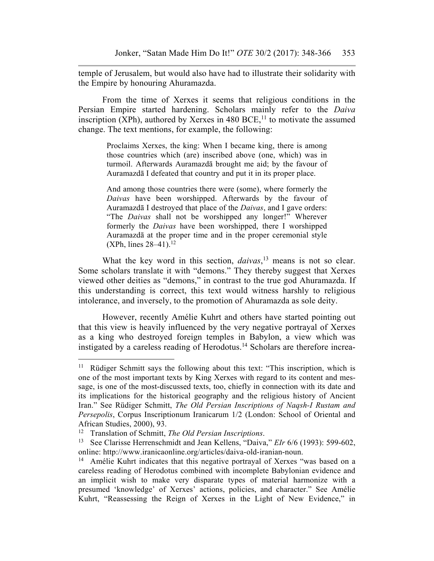temple of Jerusalem, but would also have had to illustrate their solidarity with the Empire by honouring Ahuramazda.

From the time of Xerxes it seems that religious conditions in the Persian Empire started hardening. Scholars mainly refer to the *Daiva* inscription (XPh), authored by Xerxes in 480 BCE,<sup>11</sup> to motivate the assumed change. The text mentions, for example, the following:

> Proclaims Xerxes, the king: When I became king, there is among those countries which (are) inscribed above (one, which) was in turmoil. Afterwards Auramazdā brought me aid; by the favour of Auramazdā I defeated that country and put it in its proper place.

> And among those countries there were (some), where formerly the *Daivas* have been worshipped. Afterwards by the favour of Auramazdā I destroyed that place of the *Daivas*, and I gave orders: "The *Daivas* shall not be worshipped any longer!" Wherever formerly the *Daivas* have been worshipped, there I worshipped Auramazdā at the proper time and in the proper ceremonial style  $(XPh, lines 28–41).<sup>12</sup>$

What the key word in this section, *daivas*,<sup>13</sup> means is not so clear. Some scholars translate it with "demons." They thereby suggest that Xerxes viewed other deities as "demons," in contrast to the true god Ahuramazda. If this understanding is correct, this text would witness harshly to religious intolerance, and inversely, to the promotion of Ahuramazda as sole deity.

However, recently Amélie Kuhrt and others have started pointing out that this view is heavily influenced by the very negative portrayal of Xerxes as a king who destroyed foreign temples in Babylon, a view which was instigated by a careless reading of Herodotus.14 Scholars are therefore increa-

<sup>&</sup>lt;sup>11</sup> Rüdiger Schmitt says the following about this text: "This inscription, which is one of the most important texts by King Xerxes with regard to its content and message, is one of the most-discussed texts, too, chiefly in connection with its date and its implications for the historical geography and the religious history of Ancient Iran." See Rüdiger Schmitt, *The Old Persian Inscriptions of Naqsh-I Rustam and Persepolis*, Corpus Inscriptionum Iranicarum 1/2 (London: School of Oriental and African Studies, 2000), 93.<br><sup>12</sup> Translation of Schmitt, *The Old Persian Inscriptions*.

<sup>&</sup>lt;sup>13</sup> See Clarisse Herrenschmidt and Jean Kellens, "Daiva," *EIr* 6/6 (1993): 599-602, online: http://www.iranicaonline.org/articles/daiva-old-iranian-noun.

<sup>&</sup>lt;sup>14</sup> Amélie Kuhrt indicates that this negative portrayal of Xerxes "was based on a careless reading of Herodotus combined with incomplete Babylonian evidence and an implicit wish to make very disparate types of material harmonize with a presumed 'knowledge' of Xerxes' actions, policies, and character." See Amélie Kuhrt, "Reassessing the Reign of Xerxes in the Light of New Evidence," in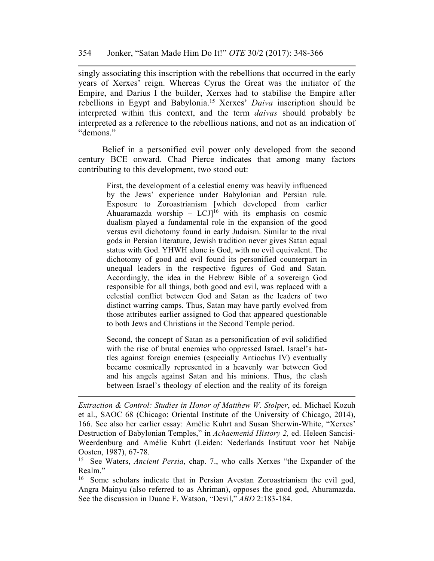singly associating this inscription with the rebellions that occurred in the early years of Xerxes' reign. Whereas Cyrus the Great was the initiator of the Empire, and Darius I the builder, Xerxes had to stabilise the Empire after rebellions in Egypt and Babylonia.15 Xerxes' *Daiva* inscription should be interpreted within this context, and the term *daivas* should probably be interpreted as a reference to the rebellious nations, and not as an indication of "demons."

Belief in a personified evil power only developed from the second century BCE onward. Chad Pierce indicates that among many factors contributing to this development, two stood out:

> First, the development of a celestial enemy was heavily influenced by the Jews' experience under Babylonian and Persian rule. Exposure to Zoroastrianism [which developed from earlier Ahuaramazda worship –  $LCJ$ <sup>16</sup> with its emphasis on cosmic dualism played a fundamental role in the expansion of the good versus evil dichotomy found in early Judaism. Similar to the rival gods in Persian literature, Jewish tradition never gives Satan equal status with God. YHWH alone is God, with no evil equivalent. The dichotomy of good and evil found its personified counterpart in unequal leaders in the respective figures of God and Satan. Accordingly, the idea in the Hebrew Bible of a sovereign God responsible for all things, both good and evil, was replaced with a celestial conflict between God and Satan as the leaders of two distinct warring camps. Thus, Satan may have partly evolved from those attributes earlier assigned to God that appeared questionable to both Jews and Christians in the Second Temple period.

> Second, the concept of Satan as a personification of evil solidified with the rise of brutal enemies who oppressed Israel. Israel's battles against foreign enemies (especially Antiochus IV) eventually became cosmically represented in a heavenly war between God and his angels against Satan and his minions. Thus, the clash between Israel's theology of election and the reality of its foreign

*Extraction & Control: Studies in Honor of Matthew W. Stolper*, ed. Michael Kozuh et al., SAOC 68 (Chicago: Oriental Institute of the University of Chicago, 2014), 166. See also her earlier essay: Amélie Kuhrt and Susan Sherwin-White, "Xerxes' Destruction of Babylonian Temples," in *Achaemenid History 2,* ed. Heleen Sancisi-Weerdenburg and Amélie Kuhrt (Leiden: Nederlands Instituut voor het Nabije Oosten, 1987), 67-78.

<sup>15</sup> See Waters, *Ancient Persia*, chap. 7., who calls Xerxes "the Expander of the Realm."

<sup>16</sup> Some scholars indicate that in Persian Avestan Zoroastrianism the evil god, Angra Mainyu (also referred to as Ahriman), opposes the good god, Ahuramazda. See the discussion in Duane F. Watson, "Devil," *ABD* 2:183-184.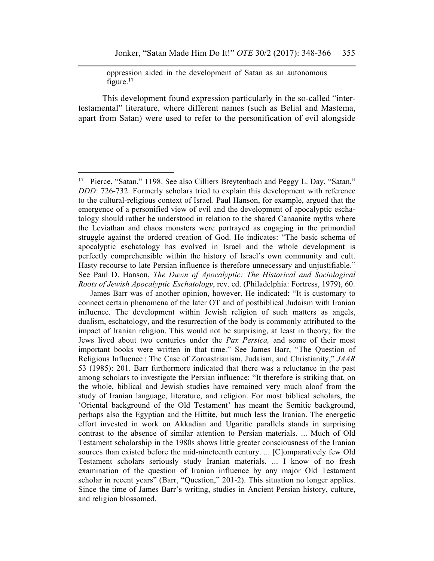oppression aided in the development of Satan as an autonomous figure.<sup>17</sup>

This development found expression particularly in the so-called "intertestamental" literature, where different names (such as Belial and Mastema, apart from Satan) were used to refer to the personification of evil alongside

 $\overline{a}$ 

 James Barr was of another opinion, however. He indicated: "It is customary to connect certain phenomena of the later OT and of postbiblical Judaism with Iranian influence. The development within Jewish religion of such matters as angels, dualism, eschatology, and the resurrection of the body is commonly attributed to the impact of Iranian religion. This would not be surprising, at least in theory; for the Jews lived about two centuries under the *Pax Persica,* and some of their most important books were written in that time." See James Barr, "The Question of Religious Influence : The Case of Zoroastrianism, Judaism, and Christianity," *JAAR* 53 (1985): 201. Barr furthermore indicated that there was a reluctance in the past among scholars to investigate the Persian influence: "It therefore is striking that, on the whole, biblical and Jewish studies have remained very much aloof from the study of Iranian language, literature, and religion. For most biblical scholars, the 'Oriental background of the Old Testament' has meant the Semitic background, perhaps also the Egyptian and the Hittite, but much less the Iranian. The energetic effort invested in work on Akkadian and Ugaritic parallels stands in surprising contrast to the absence of similar attention to Persian materials. ... Much of Old Testament scholarship in the 1980s shows little greater consciousness of the Iranian sources than existed before the mid-nineteenth century. ... [C]omparatively few Old Testament scholars seriously study Iranian materials. ... I know of no fresh examination of the question of Iranian influence by any major Old Testament scholar in recent years" (Barr, "Question," 201-2). This situation no longer applies. Since the time of James Barr's writing, studies in Ancient Persian history, culture, and religion blossomed.

<sup>&</sup>lt;sup>17</sup> Pierce, "Satan," 1198. See also Cilliers Breytenbach and Peggy L. Day, "Satan," *DDD*: 726-732. Formerly scholars tried to explain this development with reference to the cultural-religious context of Israel. Paul Hanson, for example, argued that the emergence of a personified view of evil and the development of apocalyptic eschatology should rather be understood in relation to the shared Canaanite myths where the Leviathan and chaos monsters were portrayed as engaging in the primordial struggle against the ordered creation of God. He indicates: "The basic schema of apocalyptic eschatology has evolved in Israel and the whole development is perfectly comprehensible within the history of Israel's own community and cult. Hasty recourse to late Persian influence is therefore unnecessary and unjustifiable." See Paul D. Hanson, *The Dawn of Apocalyptic: The Historical and Sociological Roots of Jewish Apocalyptic Eschatology*, rev. ed. (Philadelphia: Fortress, 1979), 60.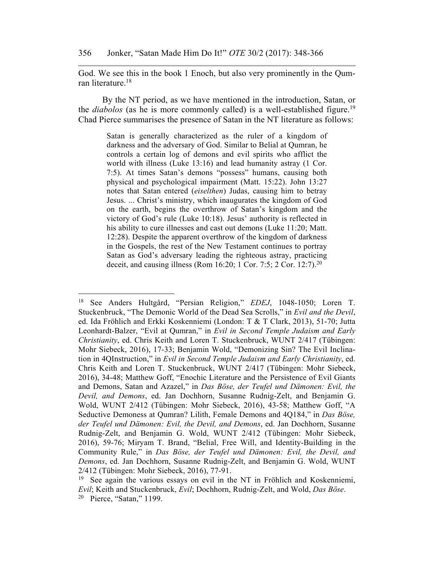God. We see this in the book 1 Enoch, but also very prominently in the Qumran literature.<sup>18</sup>

By the NT period, as we have mentioned in the introduction, Satan, or the *diabolos* (as he is more commonly called) is a well-established figure.<sup>19</sup> Chad Pierce summarises the presence of Satan in the NT literature as follows:

> Satan is generally characterized as the ruler of a kingdom of darkness and the adversary of God. Similar to Belial at Qumran, he controls a certain log of demons and evil spirits who afflict the world with illness (Luke 13:16) and lead humanity astray (1 Cor. 7:5). At times Satan's demons "possess" humans, causing both physical and psychological impairment (Matt. 15:22). John 13:27 notes that Satan entered (*eiselthen*) Judas, causing him to betray Jesus. ... Christ's ministry, which inaugurates the kingdom of God on the earth, begins the overthrow of Satan's kingdom and the victory of God's rule (Luke 10:18). Jesus' authority is reflected in his ability to cure illnesses and cast out demons (Luke 11:20; Matt. 12:28). Despite the apparent overthrow of the kingdom of darkness in the Gospels, the rest of the New Testament continues to portray Satan as God's adversary leading the righteous astray, practicing deceit, and causing illness (Rom 16:20; 1 Cor. 7:5; 2 Cor. 12:7).20

<sup>18</sup> See Anders Hultgård, "Persian Religion," *EDEJ*, 1048-1050; Loren T. Stuckenbruck, "The Demonic World of the Dead Sea Scrolls," in *Evil and the Devil*, ed. Ida Fröhlich and Erkki Koskenniemi (London: T & T Clark, 2013), 51-70; Jutta Leonhardt-Balzer, "Evil at Qumran," in *Evil in Second Temple Judaism and Early Christianity*, ed. Chris Keith and Loren T. Stuckenbruck, WUNT 2/417 (Tübingen: Mohr Siebeck, 2016), 17-33; Benjamin Wold, "Demonizing Sin? The Evil Inclination in 4QInstruction," in *Evil in Second Temple Judaism and Early Christianity*, ed. Chris Keith and Loren T. Stuckenbruck, WUNT 2/417 (Tübingen: Mohr Siebeck, 2016), 34-48; Matthew Goff, "Enochic Literature and the Persistence of Evil Giants and Demons, Satan and Azazel," in *Das Böse, der Teufel und Dämonen: Evil, the Devil, and Demons*, ed. Jan Dochhorn, Susanne Rudnig-Zelt, and Benjamin G. Wold, WUNT 2/412 (Tübingen: Mohr Siebeck, 2016), 43-58; Matthew Goff, "A Seductive Demoness at Qumran? Lilith, Female Demons and 4Q184," in *Das Böse, der Teufel und Dämonen: Evil, the Devil, and Demons*, ed. Jan Dochhorn, Susanne Rudnig-Zelt, and Benjamin G. Wold, WUNT 2/412 (Tübingen: Mohr Siebeck, 2016), 59-76; Miryam T. Brand, "Belial, Free Will, and Identity-Building in the Community Rule," in *Das Böse, der Teufel und Dämonen: Evil, the Devil, and Demons*, ed. Jan Dochhorn, Susanne Rudnig-Zelt, and Benjamin G. Wold, WUNT 2/412 (Tübingen: Mohr Siebeck, 2016), 77-91.

<sup>&</sup>lt;sup>19</sup> See again the various essays on evil in the NT in Fröhlich and Koskenniemi, *Evil*; Keith and Stuckenbruck, *Evil*; Dochhorn, Rudnig-Zelt, and Wold, *Das Böse*. 20 Pierce, "Satan," 1199.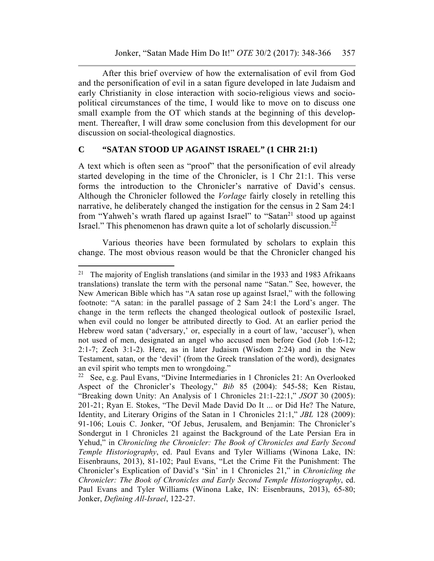After this brief overview of how the externalisation of evil from God and the personification of evil in a satan figure developed in late Judaism and early Christianity in close interaction with socio-religious views and sociopolitical circumstances of the time, I would like to move on to discuss one small example from the OT which stands at the beginning of this development. Thereafter, I will draw some conclusion from this development for our discussion on social-theological diagnostics.

## **C "SATAN STOOD UP AGAINST ISRAEL" (1 CHR 21:1)**

A text which is often seen as "proof" that the personification of evil already started developing in the time of the Chronicler, is 1 Chr 21:1. This verse forms the introduction to the Chronicler's narrative of David's census. Although the Chronicler followed the *Vorlage* fairly closely in retelling this narrative, he deliberately changed the instigation for the census in 2 Sam 24:1 from "Yahweh's wrath flared up against Israel" to "Satan<sup>21</sup> stood up against Israel." This phenomenon has drawn quite a lot of scholarly discussion.22

Various theories have been formulated by scholars to explain this change. The most obvious reason would be that the Chronicler changed his

<sup>&</sup>lt;sup>21</sup> The majority of English translations (and similar in the 1933 and 1983 Afrikaans translations) translate the term with the personal name "Satan." See, however, the New American Bible which has "A satan rose up against Israel," with the following footnote: "A satan: in the parallel passage of 2 Sam 24:1 the Lord's anger. The change in the term reflects the changed theological outlook of postexilic Israel, when evil could no longer be attributed directly to God. At an earlier period the Hebrew word satan ('adversary,' or, especially in a court of law, 'accuser'), when not used of men, designated an angel who accused men before God (Job 1:6-12; 2:1-7; Zech 3:1-2). Here, as in later Judaism (Wisdom 2:24) and in the New Testament, satan, or the 'devil' (from the Greek translation of the word), designates an evil spirit who tempts men to wrongdoing."

<sup>22</sup> See, e.g. Paul Evans, "Divine Intermediaries in 1 Chronicles 21: An Overlooked Aspect of the Chronicler's Theology," *Bib* 85 (2004): 545-58; Ken Ristau, "Breaking down Unity: An Analysis of 1 Chronicles 21:1-22:1," *JSOT* 30 (2005): 201-21; Ryan E. Stokes, "The Devil Made David Do It ... or Did He? The Nature, Identity, and Literary Origins of the Satan in 1 Chronicles 21:1," *JBL* 128 (2009): 91-106; Louis C. Jonker, "Of Jebus, Jerusalem, and Benjamin: The Chronicler's Sondergut in 1 Chronicles 21 against the Background of the Late Persian Era in Yehud," in *Chronicling the Chronicler: The Book of Chronicles and Early Second Temple Historiography*, ed. Paul Evans and Tyler Williams (Winona Lake, IN: Eisenbrauns, 2013), 81-102; Paul Evans, "Let the Crime Fit the Punishment: The Chronicler's Explication of David's 'Sin' in 1 Chronicles 21," in *Chronicling the Chronicler: The Book of Chronicles and Early Second Temple Historiography*, ed. Paul Evans and Tyler Williams (Winona Lake, IN: Eisenbrauns, 2013), 65-80; Jonker, *Defining All-Israel*, 122-27.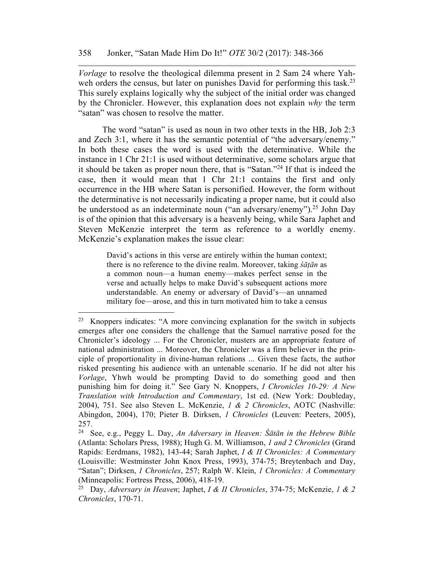*Vorlage* to resolve the theological dilemma present in 2 Sam 24 where Yahweh orders the census, but later on punishes David for performing this task.<sup>23</sup> This surely explains logically why the subject of the initial order was changed by the Chronicler. However, this explanation does not explain *why* the term "satan" was chosen to resolve the matter.

The word "satan" is used as noun in two other texts in the HB, Job 2:3 and Zech 3:1, where it has the semantic potential of "the adversary/enemy." In both these cases the word is used with the determinative. While the instance in 1 Chr 21:1 is used without determinative, some scholars argue that it should be taken as proper noun there, that is "Satan."24 If that is indeed the case, then it would mean that 1 Chr 21:1 contains the first and only occurrence in the HB where Satan is personified. However, the form without the determinative is not necessarily indicating a proper name, but it could also be understood as an indeterminate noun ("an adversary/enemy").<sup>25</sup> John Day is of the opinion that this adversary is a heavenly being, while Sara Japhet and Steven McKenzie interpret the term as reference to a worldly enemy. McKenzie's explanation makes the issue clear:

> David's actions in this verse are entirely within the human context; there is no reference to the divine realm. Moreover, taking *śāṭān* as a common noun—a human enemy—makes perfect sense in the verse and actually helps to make David's subsequent actions more understandable. An enemy or adversary of David's—an unnamed military foe—arose, and this in turn motivated him to take a census

 $\overline{a}$ 

<sup>23</sup> Knoppers indicates: "A more convincing explanation for the switch in subjects emerges after one considers the challenge that the Samuel narrative posed for the Chronicler's ideology ... For the Chronicler, musters are an appropriate feature of national administration ... Moreover, the Chronicler was a firm believer in the principle of proportionality in divine-human relations ... Given these facts, the author risked presenting his audience with an untenable scenario. If he did not alter his *Vorlage*, Yhwh would be prompting David to do something good and then punishing him for doing it." See Gary N. Knoppers, *I Chronicles 10-29: A New Translation with Introduction and Commentary*, 1st ed. (New York: Doubleday, 2004), 751. See also Steven L. McKenzie, *1 & 2 Chronicles*, AOTC (Nashville: Abingdon, 2004), 170; Pieter B. Dirksen, *1 Chronicles* (Leuven: Peeters, 2005), 257.

<sup>24</sup> See, e.g., Peggy L. Day, *An Adversary in Heaven: Śātān in the Hebrew Bible* (Atlanta: Scholars Press, 1988); Hugh G. M. Williamson, *1 and 2 Chronicles* (Grand Rapids: Eerdmans, 1982), 143-44; Sarah Japhet, *I & II Chronicles: A Commentary* (Louisville: Westminster John Knox Press, 1993), 374-75; Breytenbach and Day, "Satan"; Dirksen, *1 Chronicles*, 257; Ralph W. Klein, *1 Chronicles: A Commentary* (Minneapolis: Fortress Press, 2006), 418-19.

<sup>25</sup> Day, *Adversary in Heaven*; Japhet, *I & II Chronicles*, 374-75; McKenzie, *1 & 2 Chronicles*, 170-71.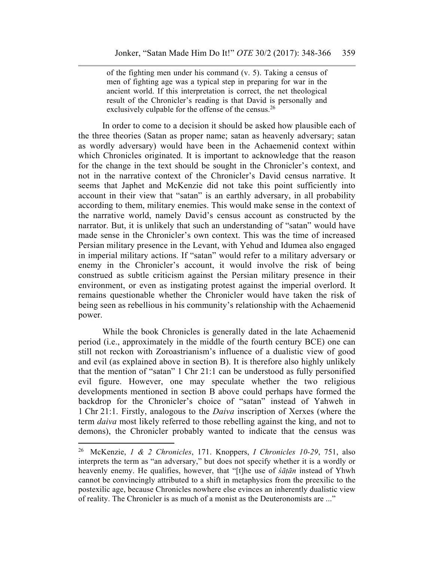of the fighting men under his command (v. 5). Taking a census of men of fighting age was a typical step in preparing for war in the ancient world. If this interpretation is correct, the net theological result of the Chronicler's reading is that David is personally and exclusively culpable for the offense of the census.<sup>26</sup>

In order to come to a decision it should be asked how plausible each of the three theories (Satan as proper name; satan as heavenly adversary; satan as wordly adversary) would have been in the Achaemenid context within which Chronicles originated. It is important to acknowledge that the reason for the change in the text should be sought in the Chronicler's context, and not in the narrative context of the Chronicler's David census narrative. It seems that Japhet and McKenzie did not take this point sufficiently into account in their view that "satan" is an earthly adversary, in all probability according to them, military enemies. This would make sense in the context of the narrative world, namely David's census account as constructed by the narrator. But, it is unlikely that such an understanding of "satan" would have made sense in the Chronicler's own context. This was the time of increased Persian military presence in the Levant, with Yehud and Idumea also engaged in imperial military actions. If "satan" would refer to a military adversary or enemy in the Chronicler's account, it would involve the risk of being construed as subtle criticism against the Persian military presence in their environment, or even as instigating protest against the imperial overlord. It remains questionable whether the Chronicler would have taken the risk of being seen as rebellious in his community's relationship with the Achaemenid power.

While the book Chronicles is generally dated in the late Achaemenid period (i.e., approximately in the middle of the fourth century BCE) one can still not reckon with Zoroastrianism's influence of a dualistic view of good and evil (as explained above in section B). It is therefore also highly unlikely that the mention of "satan" 1 Chr 21:1 can be understood as fully personified evil figure. However, one may speculate whether the two religious developments mentioned in section B above could perhaps have formed the backdrop for the Chronicler's choice of "satan" instead of Yahweh in 1 Chr 21:1. Firstly, analogous to the *Daiva* inscription of Xerxes (where the term *daiva* most likely referred to those rebelling against the king, and not to demons), the Chronicler probably wanted to indicate that the census was

<sup>26</sup> McKenzie, *1 & 2 Chronicles*, 171. Knoppers, *I Chronicles 10-29*, 751, also interprets the term as "an adversary," but does not specify whether it is a wordly or heavenly enemy. He qualifies, however, that "[t]he use of *śāṭān* instead of Yhwh cannot be convincingly attributed to a shift in metaphysics from the preexilic to the postexilic age, because Chronicles nowhere else evinces an inherently dualistic view of reality. The Chronicler is as much of a monist as the Deuteronomists are ..."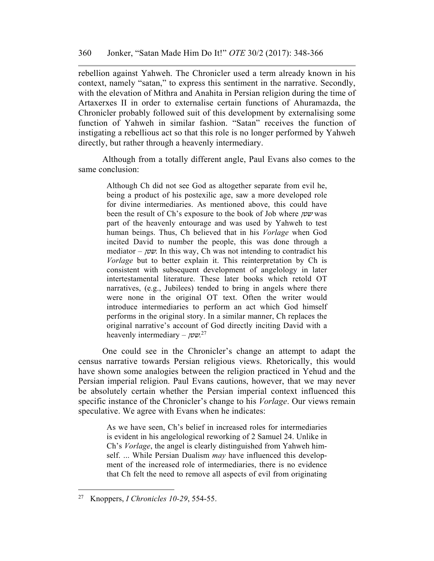rebellion against Yahweh. The Chronicler used a term already known in his context, namely "satan," to express this sentiment in the narrative. Secondly, with the elevation of Mithra and Anahita in Persian religion during the time of Artaxerxes II in order to externalise certain functions of Ahuramazda, the Chronicler probably followed suit of this development by externalising some function of Yahweh in similar fashion. "Satan" receives the function of instigating a rebellious act so that this role is no longer performed by Yahweh directly, but rather through a heavenly intermediary.

Although from a totally different angle, Paul Evans also comes to the same conclusion:

> Although Ch did not see God as altogether separate from evil he, being a product of his postexilic age, saw a more developed role for divine intermediaries. As mentioned above, this could have been the result of Ch's exposure to the book of Job where שטן was part of the heavenly entourage and was used by Yahweh to test human beings. Thus, Ch believed that in his *Vorlage* when God incited David to number the people, this was done through a mediator –  $\omega$ . In this way, Ch was not intending to contradict his *Vorlage* but to better explain it. This reinterpretation by Ch is consistent with subsequent development of angelology in later intertestamental literature. These later books which retold OT narratives, (e.g., Jubilees) tended to bring in angels where there were none in the original OT text. Often the writer would introduce intermediaries to perform an act which God himself performs in the original story. In a similar manner, Ch replaces the original narrative's account of God directly inciting David with a heavenly intermediary –  $\mu v^{27}$

One could see in the Chronicler's change an attempt to adapt the census narrative towards Persian religious views. Rhetorically, this would have shown some analogies between the religion practiced in Yehud and the Persian imperial religion. Paul Evans cautions, however, that we may never be absolutely certain whether the Persian imperial context influenced this specific instance of the Chronicler's change to his *Vorlage*. Our views remain speculative. We agree with Evans when he indicates:

> As we have seen, Ch's belief in increased roles for intermediaries is evident in his angelological reworking of 2 Samuel 24. Unlike in Ch's *Vorlage*, the angel is clearly distinguished from Yahweh himself. ... While Persian Dualism *may* have influenced this development of the increased role of intermediaries, there is no evidence that Ch felt the need to remove all aspects of evil from originating

<sup>27</sup> Knoppers, *I Chronicles 10-29*, 554-55.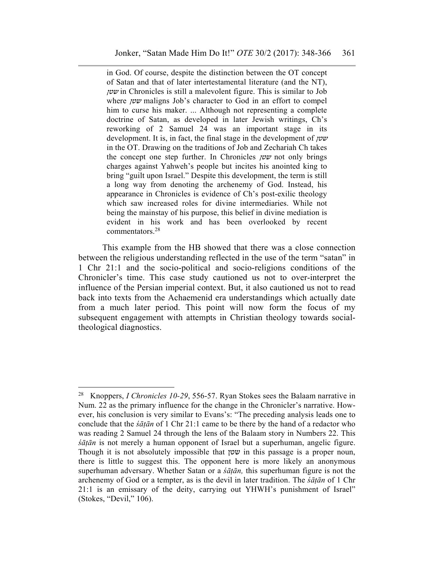in God. Of course, despite the distinction between the OT concept of Satan and that of later intertestamental literature (and the NT), שטן in Chronicles is still a malevolent figure. This is similar to Job where  $\gamma \nu \nu$  maligns Job's character to God in an effort to compel him to curse his maker. ... Although not representing a complete doctrine of Satan, as developed in later Jewish writings, Ch's reworking of 2 Samuel 24 was an important stage in its development. It is, in fact, the final stage in the development of שטן in the OT. Drawing on the traditions of Job and Zechariah Ch takes the concept one step further. In Chronicles  $y\omega y$  not only brings charges against Yahweh's people but incites his anointed king to bring "guilt upon Israel." Despite this development, the term is still a long way from denoting the archenemy of God. Instead, his appearance in Chronicles is evidence of Ch's post-exilic theology which saw increased roles for divine intermediaries. While not being the mainstay of his purpose, this belief in divine mediation is evident in his work and has been overlooked by recent commentators.28

This example from the HB showed that there was a close connection between the religious understanding reflected in the use of the term "satan" in 1 Chr 21:1 and the socio-political and socio-religions conditions of the Chronicler's time. This case study cautioned us not to over-interpret the influence of the Persian imperial context. But, it also cautioned us not to read back into texts from the Achaemenid era understandings which actually date from a much later period. This point will now form the focus of my subsequent engagement with attempts in Christian theology towards socialtheological diagnostics.

l

<sup>28</sup> Knoppers, *I Chronicles 10-29*, 556-57. Ryan Stokes sees the Balaam narrative in Num. 22 as the primary influence for the change in the Chronicler's narrative. However, his conclusion is very similar to Evans's: "The preceding analysis leads one to conclude that the *śāṭān* of 1 Chr 21:1 came to be there by the hand of a redactor who was reading 2 Samuel 24 through the lens of the Balaam story in Numbers 22. This *śāṭān* is not merely a human opponent of Israel but a superhuman, angelic figure. Though it is not absolutely impossible that שטן in this passage is a proper noun, there is little to suggest this. The opponent here is more likely an anonymous superhuman adversary. Whether Satan or a *śāṭān,* this superhuman figure is not the archenemy of God or a tempter, as is the devil in later tradition. The *śāṭān* of 1 Chr 21:1 is an emissary of the deity, carrying out YHWH's punishment of Israel" (Stokes, "Devil," 106).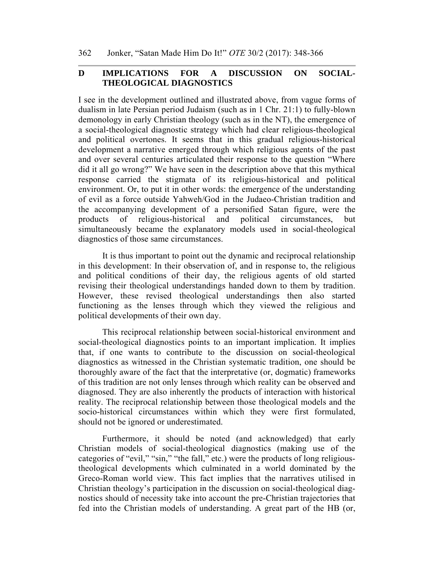## **D IMPLICATIONS FOR A DISCUSSION ON SOCIAL-THEOLOGICAL DIAGNOSTICS**

I see in the development outlined and illustrated above, from vague forms of dualism in late Persian period Judaism (such as in 1 Chr. 21:1) to fully-blown demonology in early Christian theology (such as in the NT), the emergence of a social-theological diagnostic strategy which had clear religious-theological and political overtones. It seems that in this gradual religious-historical development a narrative emerged through which religious agents of the past and over several centuries articulated their response to the question "Where did it all go wrong?" We have seen in the description above that this mythical response carried the stigmata of its religious-historical and political environment. Or, to put it in other words: the emergence of the understanding of evil as a force outside Yahweh/God in the Judaeo-Christian tradition and the accompanying development of a personified Satan figure, were the products of religious-historical and political circumstances, but simultaneously became the explanatory models used in social-theological diagnostics of those same circumstances.

It is thus important to point out the dynamic and reciprocal relationship in this development: In their observation of, and in response to, the religious and political conditions of their day, the religious agents of old started revising their theological understandings handed down to them by tradition. However, these revised theological understandings then also started functioning as the lenses through which they viewed the religious and political developments of their own day.

This reciprocal relationship between social-historical environment and social-theological diagnostics points to an important implication. It implies that, if one wants to contribute to the discussion on social-theological diagnostics as witnessed in the Christian systematic tradition, one should be thoroughly aware of the fact that the interpretative (or, dogmatic) frameworks of this tradition are not only lenses through which reality can be observed and diagnosed. They are also inherently the products of interaction with historical reality. The reciprocal relationship between those theological models and the socio-historical circumstances within which they were first formulated, should not be ignored or underestimated.

Furthermore, it should be noted (and acknowledged) that early Christian models of social-theological diagnostics (making use of the categories of "evil," "sin," "the fall," etc.) were the products of long religioustheological developments which culminated in a world dominated by the Greco-Roman world view. This fact implies that the narratives utilised in Christian theology's participation in the discussion on social-theological diagnostics should of necessity take into account the pre-Christian trajectories that fed into the Christian models of understanding. A great part of the HB (or,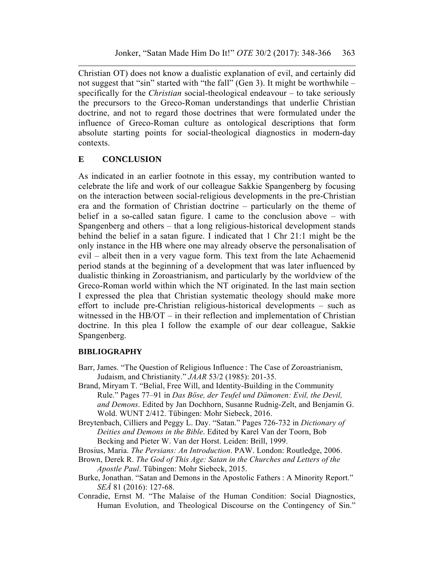Christian OT) does not know a dualistic explanation of evil, and certainly did not suggest that "sin" started with "the fall" (Gen 3). It might be worthwhile – specifically for the *Christian* social-theological endeavour – to take seriously the precursors to the Greco-Roman understandings that underlie Christian doctrine, and not to regard those doctrines that were formulated under the influence of Greco-Roman culture as ontological descriptions that form absolute starting points for social-theological diagnostics in modern-day contexts.

## **E CONCLUSION**

As indicated in an earlier footnote in this essay, my contribution wanted to celebrate the life and work of our colleague Sakkie Spangenberg by focusing on the interaction between social-religious developments in the pre-Christian era and the formation of Christian doctrine – particularly on the theme of belief in a so-called satan figure. I came to the conclusion above – with Spangenberg and others – that a long religious-historical development stands behind the belief in a satan figure. I indicated that 1 Chr 21:1 might be the only instance in the HB where one may already observe the personalisation of evil – albeit then in a very vague form. This text from the late Achaemenid period stands at the beginning of a development that was later influenced by dualistic thinking in Zoroastrianism, and particularly by the worldview of the Greco-Roman world within which the NT originated. In the last main section I expressed the plea that Christian systematic theology should make more effort to include pre-Christian religious-historical developments – such as witnessed in the HB/OT – in their reflection and implementation of Christian doctrine. In this plea I follow the example of our dear colleague, Sakkie Spangenberg.

## **BIBLIOGRAPHY**

- Barr, James. "The Question of Religious Influence : The Case of Zoroastrianism, Judaism, and Christianity." *JAAR* 53/2 (1985): 201-35.
- Brand, Miryam T. "Belial, Free Will, and Identity-Building in the Community Rule." Pages 77–91 in *Das Böse, der Teufel und Dämonen: Evil, the Devil, and Demons*. Edited by Jan Dochhorn, Susanne Rudnig-Zelt, and Benjamin G. Wold. WUNT 2/412. Tübingen: Mohr Siebeck, 2016.
- Breytenbach, Cilliers and Peggy L. Day. "Satan." Pages 726-732 in *Dictionary of Deities and Demons in the Bible*. Edited by Karel Van der Toorn, Bob Becking and Pieter W. Van der Horst. Leiden: Brill, 1999.
- Brosius, Maria. *The Persians: An Introduction*. PAW. London: Routledge, 2006.
- Brown, Derek R. *The God of This Age: Satan in the Churches and Letters of the Apostle Paul*. Tübingen: Mohr Siebeck, 2015.
- Burke, Jonathan. "Satan and Demons in the Apostolic Fathers : A Minority Report." *SEÅ* 81 (2016): 127-68.
- Conradie, Ernst M. "The Malaise of the Human Condition: Social Diagnostics, Human Evolution, and Theological Discourse on the Contingency of Sin."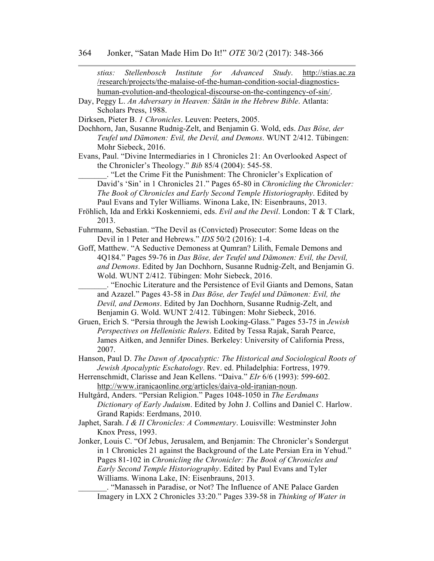*stiαs: Stellenbosch Institute for Advanced Study*. http://stias.ac.za /research/projects/the-malaise-of-the-human-condition-social-diagnosticshuman-evolution-and-theological-discourse-on-the-contingency-of-sin/. Day, Peggy L. *An Adversary in Heaven: Śātān in the Hebrew Bible*. Atlanta: Scholars Press, 1988. Dirksen, Pieter B. *1 Chronicles*. Leuven: Peeters, 2005. Dochhorn, Jan, Susanne Rudnig-Zelt, and Benjamin G. Wold, eds. *Das Böse, der Teufel und Dämonen: Evil, the Devil, and Demons*. WUNT 2/412. Tübingen: Mohr Siebeck, 2016. Evans, Paul. "Divine Intermediaries in 1 Chronicles 21: An Overlooked Aspect of the Chronicler's Theology." *Bib* 85/4 (2004): 545-58. \_\_\_\_\_\_\_. "Let the Crime Fit the Punishment: The Chronicler's Explication of David's 'Sin' in 1 Chronicles 21." Pages 65-80 in *Chronicling the Chronicler: The Book of Chronicles and Early Second Temple Historiography*. Edited by Paul Evans and Tyler Williams. Winona Lake, IN: Eisenbrauns, 2013. Fröhlich, Ida and Erkki Koskenniemi, eds. *Evil and the Devil*. London: T & T Clark, 2013. Fuhrmann, Sebastian. "The Devil as (Convicted) Prosecutor: Some Ideas on the Devil in 1 Peter and Hebrews." *IDS* 50/2 (2016): 1-4. Goff, Matthew. "A Seductive Demoness at Qumran? Lilith, Female Demons and 4Q184." Pages 59-76 in *Das Böse, der Teufel und Dämonen: Evil, the Devil, and Demons*. Edited by Jan Dochhorn, Susanne Rudnig-Zelt, and Benjamin G. Wold. WUNT 2/412. Tübingen: Mohr Siebeck, 2016. \_\_\_\_\_\_\_. "Enochic Literature and the Persistence of Evil Giants and Demons, Satan and Azazel." Pages 43-58 in *Das Böse, der Teufel und Dämonen: Evil, the Devil, and Demons*. Edited by Jan Dochhorn, Susanne Rudnig-Zelt, and Benjamin G. Wold. WUNT 2/412. Tübingen: Mohr Siebeck, 2016. Gruen, Erich S. "Persia through the Jewish Looking-Glass." Pages 53-75 in *Jewish Perspectives on Hellenistic Rulers*. Edited by Tessa Rajak, Sarah Pearce, James Aitken, and Jennifer Dines. Berkeley: University of California Press, 2007. Hanson, Paul D. *The Dawn of Apocalyptic: The Historical and Sociological Roots of Jewish Apocalyptic Eschatology*. Rev. ed. Philadelphia: Fortress, 1979. Herrenschmidt, Clarisse and Jean Kellens. "Daiva." *EIr* 6/6 (1993): 599-602. http://www.iranicaonline.org/articles/daiva-old-iranian-noun. Hultgård, Anders. "Persian Religion." Pages 1048-1050 in *The Eerdmans Dictionary of Early Judaism*. Edited by John J. Collins and Daniel C. Harlow. Grand Rapids: Eerdmans, 2010. Japhet, Sarah. *I & II Chronicles: A Commentary*. Louisville: Westminster John Knox Press, 1993. Jonker, Louis C. "Of Jebus, Jerusalem, and Benjamin: The Chronicler's Sondergut

in 1 Chronicles 21 against the Background of the Late Persian Era in Yehud." Pages 81-102 in *Chronicling the Chronicler: The Book of Chronicles and Early Second Temple Historiography*. Edited by Paul Evans and Tyler Williams. Winona Lake, IN: Eisenbrauns, 2013.

\_\_\_\_\_\_\_. "Manasseh in Paradise, or Not? The Influence of ANE Palace Garden Imagery in LXX 2 Chronicles 33:20." Pages 339-58 in *Thinking of Water in*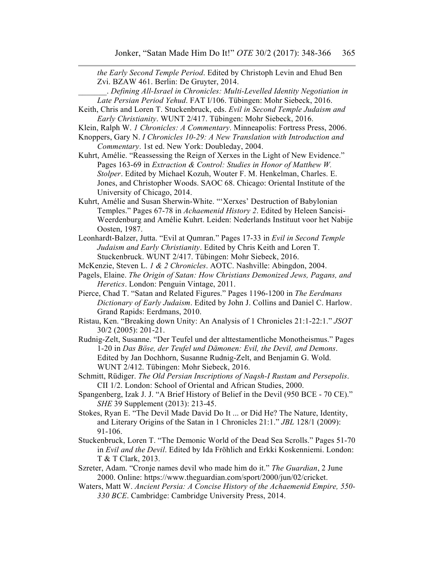*the Early Second Temple Period*. Edited by Christoph Levin and Ehud Ben Zvi. BZAW 461. Berlin: De Gruyter, 2014.

- \_\_\_\_\_\_\_. *Defining All-Israel in Chronicles: Multi-Levelled Identity Negotiation in Late Persian Period Yehud*. FAT I/106. Tübingen: Mohr Siebeck, 2016.
- Keith, Chris and Loren T. Stuckenbruck, eds. *Evil in Second Temple Judaism and Early Christianity*. WUNT 2/417. Tübingen: Mohr Siebeck, 2016.
- Klein, Ralph W. *1 Chronicles: A Commentary*. Minneapolis: Fortress Press, 2006.
- Knoppers, Gary N. *I Chronicles 10-29: A New Translation with Introduction and Commentary*. 1st ed. New York: Doubleday, 2004.
- Kuhrt, Amélie. "Reassessing the Reign of Xerxes in the Light of New Evidence." Pages 163-69 in *Extraction & Control: Studies in Honor of Matthew W. Stolper*. Edited by Michael Kozuh, Wouter F. M. Henkelman, Charles. E. Jones, and Christopher Woods. SAOC 68. Chicago: Oriental Institute of the University of Chicago, 2014.
- Kuhrt, Amélie and Susan Sherwin-White. "'Xerxes' Destruction of Babylonian Temples." Pages 67-78 in *Achaemenid History 2*. Edited by Heleen Sancisi-Weerdenburg and Amélie Kuhrt. Leiden: Nederlands Instituut voor het Nabije Oosten, 1987.
- Leonhardt-Balzer, Jutta. "Evil at Qumran." Pages 17-33 in *Evil in Second Temple Judaism and Early Christianity*. Edited by Chris Keith and Loren T. Stuckenbruck. WUNT 2/417. Tübingen: Mohr Siebeck, 2016.
- McKenzie, Steven L. *1 & 2 Chronicles*. AOTC. Nashville: Abingdon, 2004.
- Pagels, Elaine. *The Origin of Satan: How Christians Demonized Jews, Pagans, and Heretics*. London: Penguin Vintage, 2011.
- Pierce, Chad T. "Satan and Related Figures." Pages 1196-1200 in *The Eerdmans Dictionary of Early Judaism*. Edited by John J. Collins and Daniel C. Harlow. Grand Rapids: Eerdmans, 2010.
- Ristau, Ken. "Breaking down Unity: An Analysis of 1 Chronicles 21:1-22:1." *JSOT* 30/2 (2005): 201-21.
- Rudnig-Zelt, Susanne. "Der Teufel und der alttestamentliche Monotheismus." Pages 1-20 in *Das Böse, der Teufel und Dämonen: Evil, the Devil, and Demons*. Edited by Jan Dochhorn, Susanne Rudnig-Zelt, and Benjamin G. Wold. WUNT 2/412. Tübingen: Mohr Siebeck, 2016.
- Schmitt, Rüdiger. *The Old Persian Inscriptions of Naqsh-I Rustam and Persepolis*. CII 1/2. London: School of Oriental and African Studies, 2000.
- Spangenberg, Izak J. J. "A Brief History of Belief in the Devil (950 BCE 70 CE)." *SHE* 39 Supplement (2013): 213-45.
- Stokes, Ryan E. "The Devil Made David Do It ... or Did He? The Nature, Identity, and Literary Origins of the Satan in 1 Chronicles 21:1." *JBL* 128/1 (2009): 91-106.
- Stuckenbruck, Loren T. "The Demonic World of the Dead Sea Scrolls." Pages 51-70 in *Evil and the Devil*. Edited by Ida Fröhlich and Erkki Koskenniemi. London: T & T Clark, 2013.
- Szreter, Adam. "Cronje names devil who made him do it." *The Guardian*, 2 June 2000. Online: https://www.theguardian.com/sport/2000/jun/02/cricket.
- Waters, Matt W. *Ancient Persia: A Concise History of the Achaemenid Empire, 550- 330 BCE*. Cambridge: Cambridge University Press, 2014.